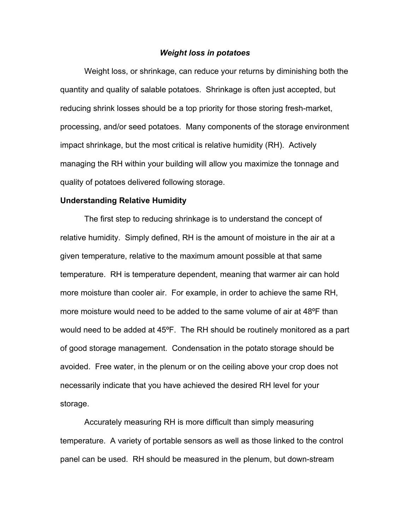## *Weight loss in potatoes*

 Weight loss, or shrinkage, can reduce your returns by diminishing both the quantity and quality of salable potatoes. Shrinkage is often just accepted, but reducing shrink losses should be a top priority for those storing fresh-market, processing, and/or seed potatoes. Many components of the storage environment impact shrinkage, but the most critical is relative humidity (RH). Actively managing the RH within your building will allow you maximize the tonnage and quality of potatoes delivered following storage.

## **Understanding Relative Humidity**

 The first step to reducing shrinkage is to understand the concept of relative humidity. Simply defined, RH is the amount of moisture in the air at a given temperature, relative to the maximum amount possible at that same temperature. RH is temperature dependent, meaning that warmer air can hold more moisture than cooler air. For example, in order to achieve the same RH, more moisture would need to be added to the same volume of air at 48ºF than would need to be added at 45ºF. The RH should be routinely monitored as a part of good storage management. Condensation in the potato storage should be avoided. Free water, in the plenum or on the ceiling above your crop does not necessarily indicate that you have achieved the desired RH level for your storage.

Accurately measuring RH is more difficult than simply measuring temperature. A variety of portable sensors as well as those linked to the control panel can be used. RH should be measured in the plenum, but down-stream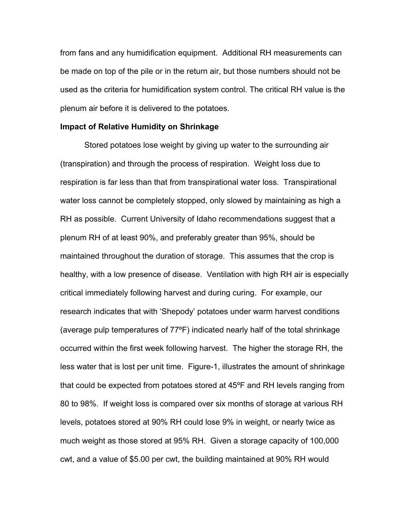from fans and any humidification equipment. Additional RH measurements can be made on top of the pile or in the return air, but those numbers should not be used as the criteria for humidification system control. The critical RH value is the plenum air before it is delivered to the potatoes.

## **Impact of Relative Humidity on Shrinkage**

Stored potatoes lose weight by giving up water to the surrounding air (transpiration) and through the process of respiration. Weight loss due to respiration is far less than that from transpirational water loss. Transpirational water loss cannot be completely stopped, only slowed by maintaining as high a RH as possible. Current University of Idaho recommendations suggest that a plenum RH of at least 90%, and preferably greater than 95%, should be maintained throughout the duration of storage. This assumes that the crop is healthy, with a low presence of disease. Ventilation with high RH air is especially critical immediately following harvest and during curing. For example, our research indicates that with 'Shepody' potatoes under warm harvest conditions (average pulp temperatures of 77ºF) indicated nearly half of the total shrinkage occurred within the first week following harvest. The higher the storage RH, the less water that is lost per unit time. Figure-1, illustrates the amount of shrinkage that could be expected from potatoes stored at 45ºF and RH levels ranging from 80 to 98%. If weight loss is compared over six months of storage at various RH levels, potatoes stored at 90% RH could lose 9% in weight, or nearly twice as much weight as those stored at 95% RH. Given a storage capacity of 100,000 cwt, and a value of \$5.00 per cwt, the building maintained at 90% RH would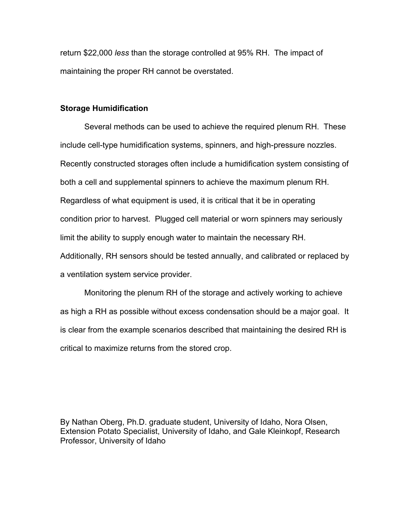return \$22,000 *less* than the storage controlled at 95% RH. The impact of maintaining the proper RH cannot be overstated.

## **Storage Humidification**

Several methods can be used to achieve the required plenum RH. These include cell-type humidification systems, spinners, and high-pressure nozzles. Recently constructed storages often include a humidification system consisting of both a cell and supplemental spinners to achieve the maximum plenum RH. Regardless of what equipment is used, it is critical that it be in operating condition prior to harvest. Plugged cell material or worn spinners may seriously limit the ability to supply enough water to maintain the necessary RH. Additionally, RH sensors should be tested annually, and calibrated or replaced by a ventilation system service provider.

Monitoring the plenum RH of the storage and actively working to achieve as high a RH as possible without excess condensation should be a major goal. It is clear from the example scenarios described that maintaining the desired RH is critical to maximize returns from the stored crop.

By Nathan Oberg, Ph.D. graduate student, University of Idaho, Nora Olsen, Extension Potato Specialist, University of Idaho, and Gale Kleinkopf, Research Professor, University of Idaho